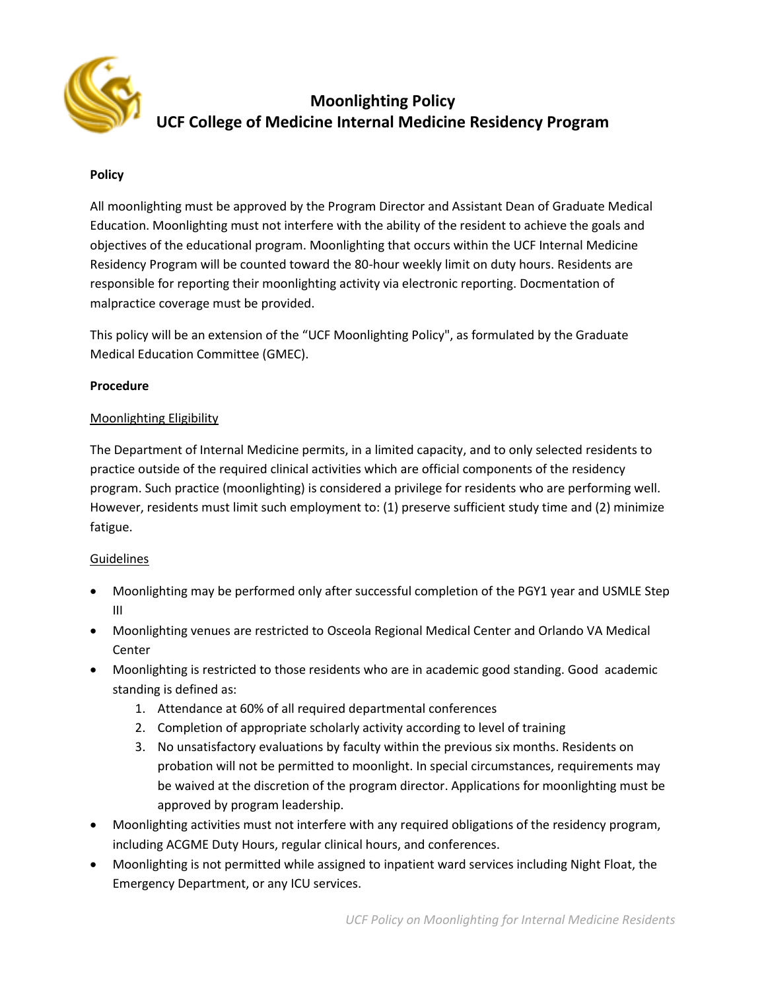

# **Moonlighting Policy UCF College of Medicine Internal Medicine Residency Program**

## **Policy**

All moonlighting must be approved by the Program Director and Assistant Dean of Graduate Medical Education. Moonlighting must not interfere with the ability of the resident to achieve the goals and objectives of the educational program. Moonlighting that occurs within the UCF Internal Medicine Residency Program will be counted toward the 80-hour weekly limit on duty hours. Residents are responsible for reporting their moonlighting activity via electronic reporting. Docmentation of malpractice coverage must be provided.

This policy will be an extension of the "UCF Moonlighting Policy", as formulated by the Graduate Medical Education Committee (GMEC).

### **Procedure**

### Moonlighting Eligibility

The Department of Internal Medicine permits, in a limited capacity, and to only selected residents to practice outside of the required clinical activities which are official components of the residency program. Such practice (moonlighting) is considered a privilege for residents who are performing well. However, residents must limit such employment to: (1) preserve sufficient study time and (2) minimize fatigue.

### Guidelines

- Moonlighting may be performed only after successful completion of the PGY1 year and USMLE Step III
- Moonlighting venues are restricted to Osceola Regional Medical Center and Orlando VA Medical Center
- Moonlighting is restricted to those residents who are in academic good standing. Good academic standing is defined as:
	- 1. Attendance at 60% of all required departmental conferences
	- 2. Completion of appropriate scholarly activity according to level of training
	- 3. No unsatisfactory evaluations by faculty within the previous six months. Residents on probation will not be permitted to moonlight. In special circumstances, requirements may be waived at the discretion of the program director. Applications for moonlighting must be approved by program leadership.
- Moonlighting activities must not interfere with any required obligations of the residency program, including ACGME Duty Hours, regular clinical hours, and conferences.
- Moonlighting is not permitted while assigned to inpatient ward services including Night Float, the Emergency Department, or any ICU services.